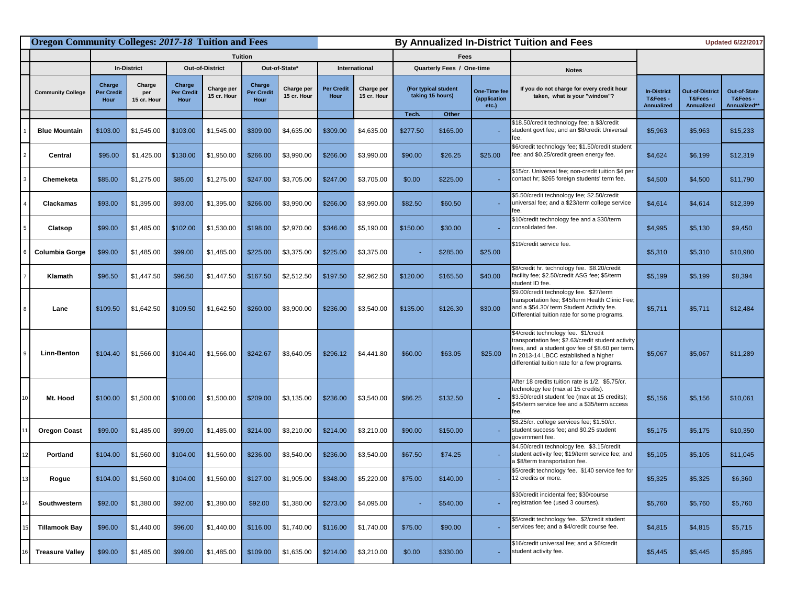|                          | <b>Oregon Community Colleges: 2017-18 Tuition and Fees</b> |                              |                                            |                           |                                            |                                  |                           |                                  | By Annualized In-District Tuition and Fees |              |                                       |                                                                                                                                                                                                                                         | <b>Updated 6/22/2017</b>                           |                                                         |                                                 |  |
|--------------------------|------------------------------------------------------------|------------------------------|--------------------------------------------|---------------------------|--------------------------------------------|----------------------------------|---------------------------|----------------------------------|--------------------------------------------|--------------|---------------------------------------|-----------------------------------------------------------------------------------------------------------------------------------------------------------------------------------------------------------------------------------------|----------------------------------------------------|---------------------------------------------------------|-------------------------------------------------|--|
|                          |                                                            |                              |                                            |                           | <b>Tuition</b>                             |                                  |                           |                                  | <b>Fees</b>                                |              |                                       |                                                                                                                                                                                                                                         |                                                    |                                                         |                                                 |  |
|                          | <b>In-District</b>                                         |                              | <b>Out-of-District</b>                     |                           | Out-of-State*                              |                                  | <b>International</b>      |                                  | <b>Quarterly Fees / One-time</b>           |              |                                       | <b>Notes</b>                                                                                                                                                                                                                            |                                                    |                                                         |                                                 |  |
| <b>Community College</b> | Charge<br><b>Per Credit</b><br>Hour                        | Charge<br>per<br>15 cr. Hour | <b>Charge</b><br><b>Per Credit</b><br>Hour | Charge per<br>15 cr. Hour | <b>Charge</b><br><b>Per Credit</b><br>Hour | <b>Charge per</b><br>15 cr. Hour | <b>Per Credit</b><br>Hour | <b>Charge per</b><br>15 cr. Hour | (For typical student<br>taking 15 hours)   |              | One-Time fee<br>(application<br>etc.) | If you do not charge for every credit hour<br>taken, what is your "window"?                                                                                                                                                             | <b>In-District</b><br>T&Fees-<br><b>Annualized</b> | <b>Out-of-District</b><br>T&Fees -<br><b>Annualized</b> | <b>Out-of-State</b><br>T&Fees -<br>Annualized** |  |
|                          |                                                            |                              |                                            |                           |                                            |                                  |                           |                                  | Tech.                                      | <b>Other</b> |                                       |                                                                                                                                                                                                                                         |                                                    |                                                         |                                                 |  |
| <b>Blue Mountain</b>     | \$103.00                                                   | \$1,545.00                   | \$103.00                                   | \$1,545.00                | \$309.00                                   | \$4,635.00                       | \$309.00                  | \$4,635.00                       | \$277.50                                   | \$165.00     |                                       | \$18.50/credit technology fee; a \$3/credit<br>student govt fee; and an \$8/credit Universal<br>eе.                                                                                                                                     | \$5,963                                            | \$5,963                                                 | \$15,233                                        |  |
| <b>Central</b>           | \$95.00                                                    | \$1,425.00                   | \$130.00                                   | \$1,950.00                | \$266.00                                   | \$3,990.00                       | \$266.00                  | \$3,990.00                       | \$90.00                                    | \$26.25      | \$25.00                               | \$6/credit technology fee; \$1.50/credit student<br>fee; and \$0.25/credit green energy fee.                                                                                                                                            | \$4,624                                            | \$6,199                                                 | \$12,319                                        |  |
| <b>Chemeketa</b>         | \$85.00                                                    | \$1,275.00                   | \$85.00                                    | \$1,275.00                | \$247.00                                   | \$3,705.00                       | \$247.00                  | \$3,705.00                       | \$0.00                                     | \$225.00     |                                       | \$15/cr. Universal fee; non-credit tuition \$4 per<br>contact hr; \$265 foreign students' term fee.                                                                                                                                     | \$4,500                                            | \$4,500                                                 | \$11,790                                        |  |
| <b>Clackamas</b>         | \$93.00                                                    | \$1,395.00                   | \$93.00                                    | \$1,395.00                | \$266.00                                   | \$3,990.00                       | \$266.00                  | \$3,990.00                       | \$82.50                                    | \$60.50      |                                       | \$5.50/credit technology fee; \$2.50/credit<br>universal fee; and a \$23/term college service<br>fee.                                                                                                                                   | \$4,614                                            | \$4,614                                                 | \$12,399                                        |  |
| <b>Clatsop</b>           | \$99.00                                                    | \$1,485.00                   | \$102.00                                   | \$1,530.00                | \$198.00                                   | \$2,970.00                       | \$346.00                  | \$5,190.00                       | \$150.00                                   | \$30.00      |                                       | \$10/credit technology fee and a \$30/term<br>consolidated fee.                                                                                                                                                                         | \$4,995                                            | \$5,130                                                 | \$9,450                                         |  |
| <b>Columbia Gorge</b>    | \$99.00                                                    | \$1,485.00                   | \$99.00                                    | \$1,485.00                | \$225.00                                   | \$3,375.00                       | \$225.00                  | \$3,375.00                       |                                            | \$285.00     | \$25.00                               | \$19/credit service fee.                                                                                                                                                                                                                | \$5,310                                            | \$5,310                                                 | \$10,980                                        |  |
| Klamath                  | \$96.50                                                    | \$1,447.50                   | \$96.50                                    | \$1,447.50                | \$167.50                                   | \$2,512.50                       | \$197.50                  | \$2,962.50                       | \$120.00                                   | \$165.50     | \$40.00                               | \$8/credit hr. technology fee. \$8.20/credit<br>facility fee; \$2.50/credit ASG fee; \$5/term<br>student ID fee.                                                                                                                        | \$5,199                                            | \$5,199                                                 | \$8,394                                         |  |
| Lane                     | \$109.50                                                   | \$1,642.50                   | \$109.50                                   | \$1,642.50                | \$260.00                                   | \$3,900.00                       | \$236.00                  | \$3,540.00                       | \$135.00                                   | \$126.30     | \$30.00                               | \$9.00/credit technology fee. \$27/term<br>transportation fee; \$45/term Health Clinic Fee;<br>and a \$54.30/ term Student Activity fee.<br>Differential tuition rate for some programs.                                                | \$5,711                                            | \$5,711                                                 | \$12,484                                        |  |
| <b>Linn-Benton</b>       | \$104.40                                                   | \$1,566.00                   | \$104.40                                   | \$1,566.00                | \$242.67                                   | \$3,640.05                       | \$296.12                  | \$4,441.80                       | \$60.00                                    | \$63.05      | \$25.00                               | \$4/credit technology fee. \$1/credit<br>transportation fee; \$2.63/credit student activity<br>fees, and a student gov fee of \$8.60 per term.<br>In 2013-14 LBCC established a higher<br>differential tuition rate for a few programs. | \$5,067                                            | \$5,067                                                 | \$11,289                                        |  |
| Mt. Hood                 | \$100.00                                                   | \$1,500.00                   | \$100.00                                   | \$1,500.00                | \$209.00                                   | \$3,135.00                       | \$236.00                  | \$3,540.00                       | \$86.25                                    | \$132.50     |                                       | After 18 credits tuition rate is 1/2. \$5.75/cr.<br>technology fee (max at 15 credits).<br>\$3.50/credit student fee (max at 15 credits);<br>\$45/term service fee and a \$35/term access                                               | \$5,156                                            | \$5,156                                                 | \$10,061                                        |  |
| <b>Oregon Coast</b>      | \$99.00                                                    | \$1,485.00                   | \$99.00                                    | \$1,485.00                | \$214.00                                   | \$3,210.00                       | \$214.00                  | \$3,210.00                       | \$90.00                                    | \$150.00     |                                       | \$8.25/cr. college services fee; \$1.50/cr.<br>student success fee; and \$0.25 student<br>government fee.                                                                                                                               | \$5,175                                            | \$5,175                                                 | \$10,350                                        |  |
| <b>Portland</b>          | \$104.00                                                   | \$1,560.00                   | \$104.00                                   | \$1,560.00                | \$236.00                                   | \$3,540.00                       | \$236.00                  | \$3,540.00                       | \$67.50                                    | \$74.25      |                                       | \$4.50/credit technology fee. \$3.15/credit<br>student activity fee; \$19/term service fee; and<br>a \$8/term transportation fee.                                                                                                       | \$5,105                                            | \$5,105                                                 | \$11,045                                        |  |
| Rogue                    | \$104.00                                                   | \$1,560.00                   | \$104.00                                   | \$1,560.00                | \$127.00                                   | \$1,905.00                       | \$348.00                  | \$5,220.00                       | \$75.00                                    | \$140.00     |                                       | \$5/credit technology fee. \$140 service fee for<br>12 credits or more.                                                                                                                                                                 | \$5,325                                            | \$5,325                                                 | \$6,360                                         |  |
| Southwestern             | \$92.00                                                    | \$1,380.00                   | \$92.00                                    | \$1,380.00                | \$92.00                                    | \$1,380.00                       | \$273.00                  | \$4,095.00                       |                                            | \$540.00     |                                       | \$30/credit incidental fee; \$30/course<br>registration fee (used 3 courses).                                                                                                                                                           | \$5,760                                            | \$5,760                                                 | \$5,760                                         |  |
| <b>Tillamook Bay</b>     | \$96.00                                                    | \$1,440.00                   | \$96.00                                    | \$1,440.00                | \$116.00                                   | \$1,740.00                       | \$116.00                  | \$1,740.00                       | \$75.00                                    | \$90.00      |                                       | \$5/credit technology fee. \$2/credit student<br>services fee; and a \$4/credit course fee.                                                                                                                                             | \$4,815                                            | \$4,815                                                 | \$5,715                                         |  |
| <b>Treasure Valley</b>   | \$99.00                                                    | \$1,485.00                   | \$99.00                                    | \$1,485.00                | \$109.00                                   | \$1,635.00                       | \$214.00                  | \$3,210.00                       | \$0.00                                     | \$330.00     |                                       | \$16/credit universal fee; and a \$6/credit<br>student activity fee.                                                                                                                                                                    | \$5,445                                            | \$5,445                                                 | \$5,895                                         |  |